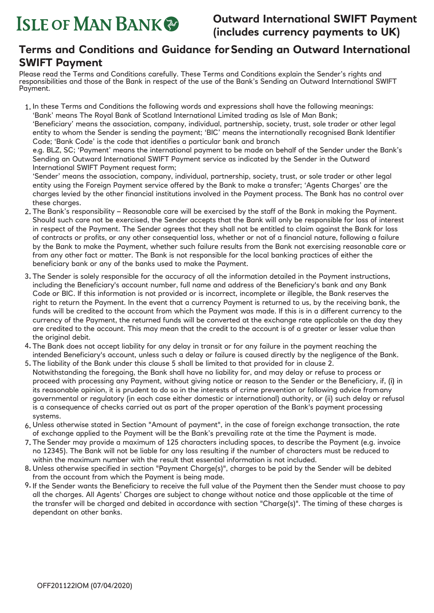# **Terms and Conditions and Guidance for Sending an Outward International SWIFT Payment**

Please read the Terms and Conditions carefully. These Terms and Conditions explain the Sender's rights and responsibilities and those of the Bank in respect of the use of the Bank's Sending an Outward International SWIFT Payment.

In these Terms and Conditions the following words and expressions shall have the following meanings: 1**.** 'Bank' means The Royal Bank of Scotland International Limited trading as Isle of Man Bank; 'Beneficiary' means the association, company, individual, partnership, society, trust, sole trader or other legal entity to whom the Sender is sending the payment; 'BIC' means the internationally recognised Bank Identifier

Code; 'Bank Code' is the code that identifies a particular bank and branch e.g. BLZ, SC; 'Payment' means the international payment to be made on behalf of the Sender under the Bank's Sending an Outward International SWIFT Payment service as indicated by the Sender in the Outward

International SWIFT Payment request form; 'Sender' means the association, company, individual, partnership, society, trust, or sole trader or other legal entity using the Foreign Payment service offered by the Bank to make a transfer; 'Agents Charges' are the charges levied by the other financial institutions involved in the Payment process. The Bank has no control over these charges.

- The Bank's responsibility Reasonable care will be exercised by the staff of the Bank in making the Payment. 2**.** Should such care not be exercised, the Sender accepts that the Bank will only be responsible for loss of interest in respect of the Payment. The Sender agrees that they shall not be entitled to claim against the Bank for loss of contracts or profits, or any other consequential loss, whether or not of a financial nature, following a failure by the Bank to make the Payment, whether such failure results from the Bank not exercising reasonable care or from any other fact or matter. The Bank is not responsible for the local banking practices of either the beneficiary bank or any of the banks used to make the Payment.
- The Sender is solely responsible for the accuracy of all the information detailed in the Payment instructions, 3**.** including the Beneficiary's account number, full name and address of the Beneficiary's bank and any Bank Code or BIC. If this information is not provided or is incorrect, incomplete or illegible, the Bank reserves the right to return the Payment. In the event that a currency Payment is returned to us, by the receiving bank, the funds will be credited to the account from which the Payment was made. If this is in a different currency to the currency of the Payment, the returned funds will be converted at the exchange rate applicable on the day they are credited to the account. This may mean that the credit to the account is of a greater or lesser value than the original debit.
- The Bank does not accept liability for any delay in transit or for any failure in the payment reaching the 4**.** intended Beneficiary's account, unless such a delay or failure is caused directly by the negligence of the Bank.
- The liability of the Bank under this clause 5 shall be limited to that provided for in clause 2. 5**.** Notwithstanding the foregoing, the Bank shall have no liability for, and may delay or refuse to process or proceed with processing any Payment, without giving notice or reason to the Sender or the Beneficiary, if, (i) in its reasonable opinion, it is prudent to do so in the interests of crime prevention or following advice fromany governmental or regulatory (in each case either domestic or international) authority, or (ii) such delay or refusal is a consequence of checks carried out as part of the proper operation of the Bank's payment processing systems.
- Unless otherwise stated in Section "Amount of payment", in the case of foreign exchange transaction, the rate 6**.** of exchange applied to the Payment will be the Bank's prevailing rate at the time the Payment is made.
- The Sender may provide a maximum of 125 characters including spaces, to describe the Payment (e.g. invoice 7**.** no 12345). The Bank will not be liable for any loss resulting if the number of characters must be reduced to within the maximum number with the result that essential information is not included.
- Unless otherwise specified in section "Payment Charge(s)", charges to be paid by the Sender will be debited 8**.** from the account from which the Payment is being made.
- If the Sender wants the Beneficiary to receive the full value of the Payment then the Sender must choose to pay 9**.**all the charges. All Agents' Charges are subject to change without notice and those applicable at the time of the transfer will be charged and debited in accordance with section "Charge(s)". The timing of these charges is dependant on other banks.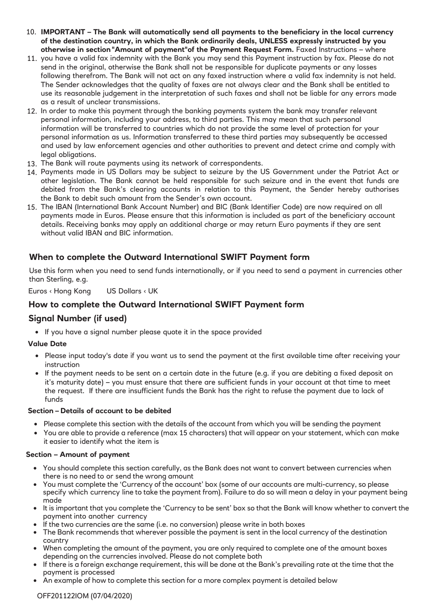- **IMPORTANT The Bank will automatically send all payments to the beneficiary in the local currency**  10. **of the destination country, in which the Bank ordinarily deals, UNLESS expressly instructed by you otherwise in section "Amount of payment" of the Payment Request Form.** Faxed Instructions – where
- 11. you have a valid fax indemnity with the Bank you may send this Payment instruction by fax. Please do not send in the original, otherwise the Bank shall not be responsible for duplicate payments or any losses following therefrom. The Bank will not act on any faxed instruction where a valid fax indemnity is not held. The Sender acknowledges that the quality of faxes are not always clear and the Bank shall be entitled to use its reasonable judgement in the interpretation of such faxes and shall not be liable for any errors made as a result of unclear transmissions.
- 12. In order to make this payment through the banking payments system the bank may transfer relevant personal information, including your address, to third parties. This may mean that such personal information will be transferred to countries which do not provide the same level of protection for your personal information as us. Information transferred to these third parties may subsequently be accessed and used by law enforcement agencies and other authorities to prevent and detect crime and comply with legal obligations.
- 13. The Bank will route payments using its network of correspondents.
- 14. Payments made in US Dollars may be subject to seizure by the US Government under the Patriot Act or other legislation. The Bank cannot be held responsible for such seizure and in the event that funds are debited from the Bank's clearing accounts in relation to this Payment, the Sender hereby authorises the Bank to debit such amount from the Sender's own account.
- The IBAN (International Bank Account Number) and BIC (Bank Identifier Code) are now required on all 15. payments made in Euros. Please ensure that this information is included as part of the beneficiary account details. Receiving banks may apply an additional charge or may return Euro payments if they are sent without valid IBAN and BIC information.

# **When to complete the Outward International SWIFT Payment form**

Use this form when you need to send funds internationally, or if you need to send a payment in currencies other than Sterling, e.g.

Euros ‹ Hong Kong US Dollars ‹ UK

# **How to complete the Outward International SWIFT Payment form**

## **Signal Number (if used)**

• If you have a signal number please quote it in the space provided

#### **Value Date**

- Please input today's date if you want us to send the payment at the first available time after receiving your instruction
- If the payment needs to be sent on a certain date in the future (e.g. if you are debiting a fixed deposit on it's maturity date) – you must ensure that there are sufficient funds in your account at that time to meet the request. If there are insufficient funds the Bank has the right to refuse the payment due to lack of funds

#### **Section – Details of account to be debited**

- Please complete this section with the details of the account from which you will be sending the payment
- You are able to provide a reference (max 15 characters) that will appear on your statement, which can make it easier to identify what the item is

#### **Section – Amount of payment**

- You should complete this section carefully, as the Bank does not want to convert between currencies when there is no need to or send the wrong amount
- You must complete the 'Currency of the account' box (some of our accounts are multi-currency, so please specify which currency line to take the payment from). Failure to do so will mean a delay in your payment being made
- It is important that you complete the 'Currency to be sent' box so that the Bank will know whether to convert the payment into another currency
- If the two currencies are the same (i.e. no conversion) please write in both boxes
- The Bank recommends that wherever possible the payment is sent in the local currency of the destination country
- When completing the amount of the payment, you are only required to complete one of the amount boxes depending on the currencies involved. Please do not complete both
- If there is a foreign exchange requirement, this will be done at the Bank's prevailing rate at the time that the payment is processed
- An example of how to complete this section for a more complex payment is detailed below

#### OFF201122IOM (07/04/2020)